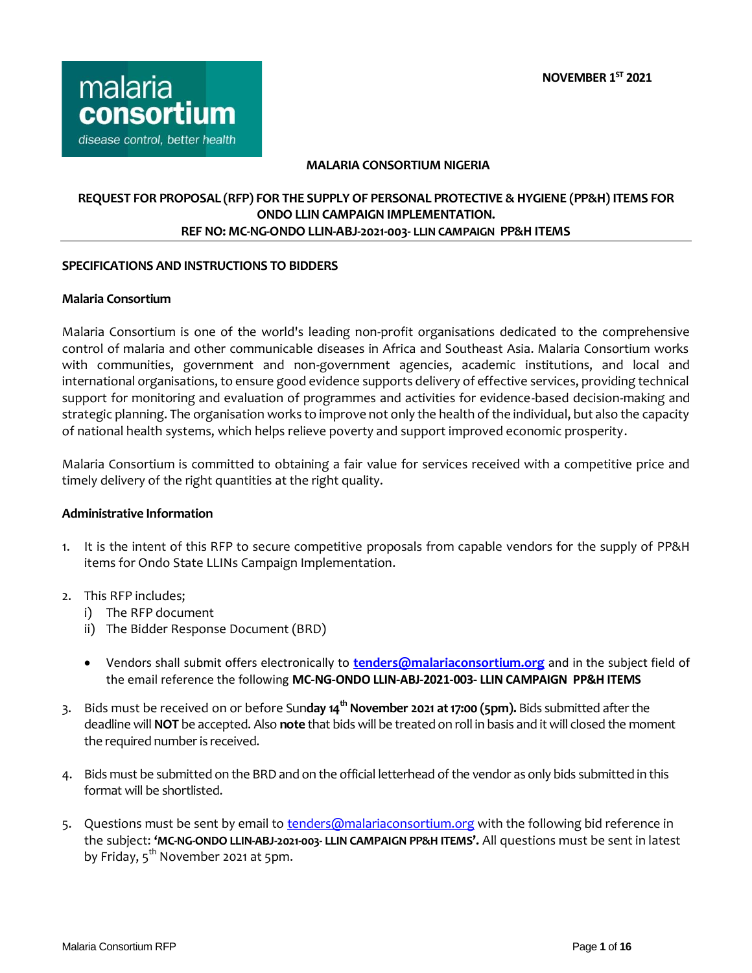

### **MALARIA CONSORTIUM NIGERIA**

# **REQUEST FOR PROPOSAL (RFP) FOR THE SUPPLY OF PERSONAL PROTECTIVE & HYGIENE (PP&H) ITEMS FOR ONDO LLIN CAMPAIGN IMPLEMENTATION. REF NO: MC-NG-ONDO LLIN-ABJ-2021-003- LLIN CAMPAIGN PP&H ITEMS**

### **SPECIFICATIONS AND INSTRUCTIONS TO BIDDERS**

### **Malaria Consortium**

Malaria Consortium is one of the world's leading non-profit organisations dedicated to the comprehensive control of malaria and other communicable diseases in Africa and Southeast Asia. Malaria Consortium works with communities, government and non-government agencies, academic institutions, and local and international organisations, to ensure good evidence supports delivery of effective services, providing technical support for monitoring and evaluation of programmes and activities for evidence-based decision-making and strategic planning. The organisation works to improve not only the health of the individual, but also the capacity of national health systems, which helps relieve poverty and support improved economic prosperity.

Malaria Consortium is committed to obtaining a fair value for services received with a competitive price and timely delivery of the right quantities at the right quality.

### **Administrative Information**

- 1. It is the intent of this RFP to secure competitive proposals from capable vendors for the supply of PP&H items for Ondo State LLINs Campaign Implementation.
- 2. This RFP includes;
	- i) The RFP document
	- ii) The Bidder Response Document (BRD)
	- Vendors shall submit offers electronically to **[tenders@malariaconsortium.org](mailto:tenders@malariaconsortium.org)** and in the subject field of the email reference the following **MC-NG-ONDO LLIN-ABJ-2021-003- LLIN CAMPAIGN PP&H ITEMS**
- 3. Bids must be received on or before Sun**day 14th November 2021 at 17:00 (5pm).** Bids submitted after the deadline will **NOT** be accepted. Also **note** that bids will be treated on roll in basis and it will closed the moment the required number is received.
- 4. Bids must be submitted on the BRD and on the official letterhead of the vendor as only bids submitted in this format will be shortlisted.
- 5. Questions must be sent by email t[o tenders@malariaconsortium.org](mailto:tenders@malariaconsortium.org) with the following bid reference in the subject: **'MC-NG-ONDO LLIN-ABJ-2021-003- LLIN CAMPAIGN PP&H ITEMS'.** All questions must be sent in latest by Friday, 5<sup>th</sup> November 2021 at 5pm.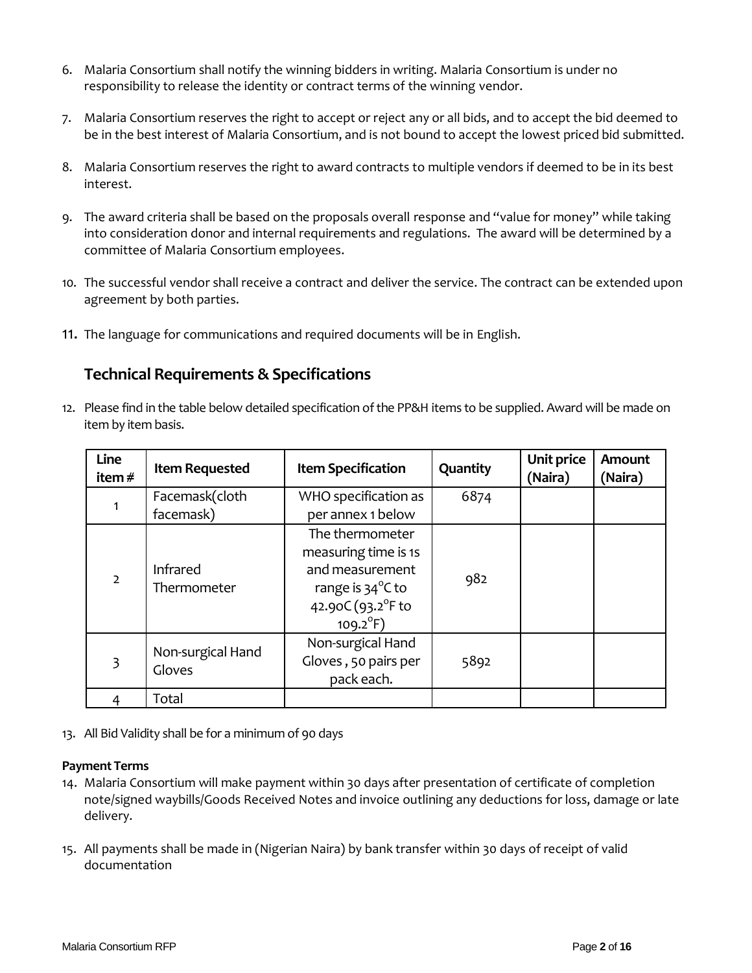- 6. Malaria Consortium shall notify the winning bidders in writing. Malaria Consortium is under no responsibility to release the identity or contract terms of the winning vendor.
- 7. Malaria Consortium reserves the right to accept or reject any or all bids, and to accept the bid deemed to be in the best interest of Malaria Consortium, and is not bound to accept the lowest priced bid submitted.
- 8. Malaria Consortium reserves the right to award contracts to multiple vendors if deemed to be in its best interest.
- 9. The award criteria shall be based on the proposals overall response and "value for money" while taking into consideration donor and internal requirements and regulations. The award will be determined by a committee of Malaria Consortium employees.
- 10. The successful vendor shall receive a contract and deliver the service. The contract can be extended upon agreement by both parties.
- 11. The language for communications and required documents will be in English.

# **Technical Requirements & Specifications**

12. Please find in the table below detailed specification of the PP&H items to be supplied. Award will be made on item by item basis.

| Line<br>item#  | <b>Item Requested</b>          | <b>Item Specification</b>                                                                                                 | Quantity | Unit price<br>(Naira) | Amount<br>(Naira) |
|----------------|--------------------------------|---------------------------------------------------------------------------------------------------------------------------|----------|-----------------------|-------------------|
| 1              | Facemask(cloth                 | WHO specification as                                                                                                      | 6874     |                       |                   |
|                | facemask)                      | per annex 1 below                                                                                                         |          |                       |                   |
| $\overline{2}$ | <b>Infrared</b><br>Thermometer | The thermometer<br>measuring time is 1s<br>and measurement<br>range is 34°C to<br>42.90C (93.2°F to<br>$109.2^{\circ}F$ ) | 982      |                       |                   |
| 3              | Non-surgical Hand<br>Gloves    | Non-surgical Hand<br>Gloves, 50 pairs per<br>pack each.                                                                   | 5892     |                       |                   |
|                | Total                          |                                                                                                                           |          |                       |                   |

13. All Bid Validity shall be for a minimum of 90 days

### **Payment Terms**

- 14. Malaria Consortium will make payment within 30 days after presentation of certificate of completion note/signed waybills/Goods Received Notes and invoice outlining any deductions for loss, damage or late delivery.
- 15. All payments shall be made in (Nigerian Naira) by bank transfer within 30 days of receipt of valid documentation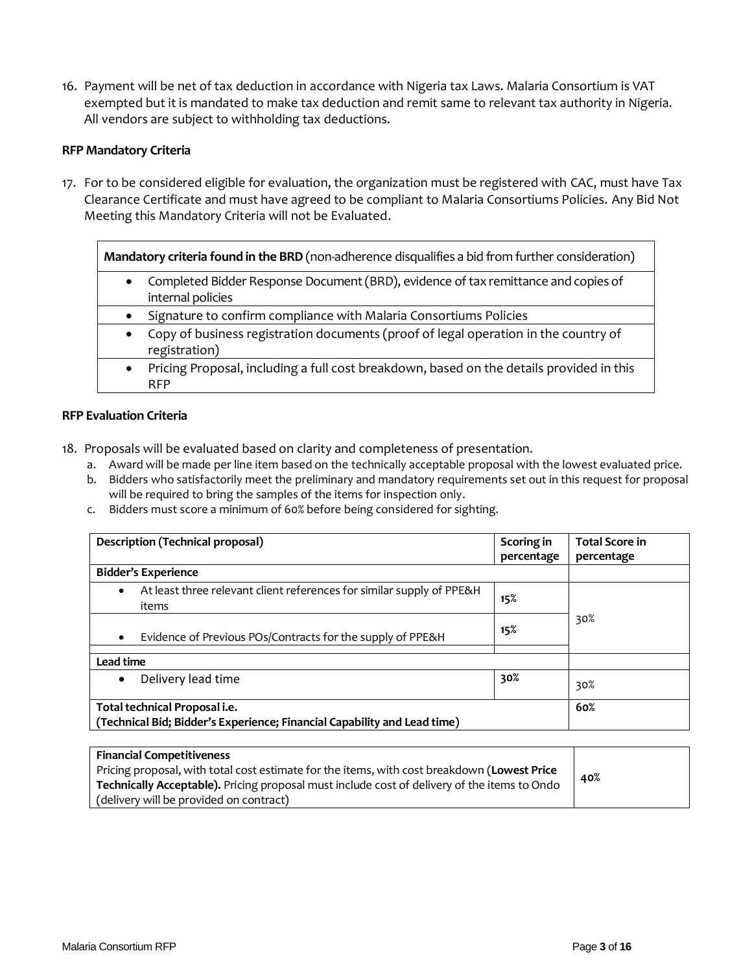16. Payment will be net of tax deduction in accordance with Nigeria tax Laws. Malaria Consortium is VAT exempted but it is mandated to make tax deduction and remit same to relevant tax authority in Nigeria. All vendors are subject to withholding tax deductions.

### **RFP Mandatory Criteria**

17. For to be considered eligible for evaluation, the organization must be registered with CAC, must have Tax Clearance Certificate and must have agreed to be compliant to Malaria Consortiums Policies. Any Bid Not Meeting this Mandatory Criteria will not be Evaluated.

| Mandatory criteria found in the BRD (non-adherence disqualifies a bid from further consideration) |                                                                                                      |  |  |  |
|---------------------------------------------------------------------------------------------------|------------------------------------------------------------------------------------------------------|--|--|--|
|                                                                                                   | Completed Bidder Response Document (BRD), evidence of tax remittance and copies of                   |  |  |  |
|                                                                                                   | internal policies                                                                                    |  |  |  |
|                                                                                                   | Signature to confirm compliance with Malaria Consortiums Policies                                    |  |  |  |
|                                                                                                   | Copy of business registration documents (proof of legal operation in the country of<br>registration) |  |  |  |
|                                                                                                   |                                                                                                      |  |  |  |
|                                                                                                   | Pricing Proposal, including a full cost breakdown, based on the details provided in this             |  |  |  |
|                                                                                                   | RFP                                                                                                  |  |  |  |

### **RFP Evaluation Criteria**

- 18. Proposals will be evaluated based on clarity and completeness of presentation.
	- a. Award will be made per line item based on the technically acceptable proposal with the lowest evaluated price.
	- b. Bidders who satisfactorily meet the preliminary and mandatory requirements set out in this request for proposal will be required to bring the samples of the items for inspection only.
	- c. Bidders must score a minimum of 60% before being considered for sighting.

| Description (Technical proposal)                                                                          | Scoring in<br>percentage | <b>Total Score in</b><br>percentage |  |
|-----------------------------------------------------------------------------------------------------------|--------------------------|-------------------------------------|--|
| <b>Bidder's Experience</b>                                                                                |                          |                                     |  |
| At least three relevant client references for similar supply of PPE&H<br>$\bullet$<br>items               | 15%                      |                                     |  |
| Evidence of Previous POs/Contracts for the supply of PPE&H                                                | 15%                      | 30%                                 |  |
| Lead time                                                                                                 |                          |                                     |  |
| Delivery lead time<br>$\bullet$                                                                           | 30%                      | 30%                                 |  |
| Total technical Proposal i.e.<br>(Technical Bid; Bidder's Experience; Financial Capability and Lead time) | 60%                      |                                     |  |

| <b>Financial Competitiveness</b>                                                             |     |
|----------------------------------------------------------------------------------------------|-----|
| Pricing proposal, with total cost estimate for the items, with cost breakdown (Lowest Price  | 40% |
| Technically Acceptable). Pricing proposal must include cost of delivery of the items to Ondo |     |
| (delivery will be provided on contract)                                                      |     |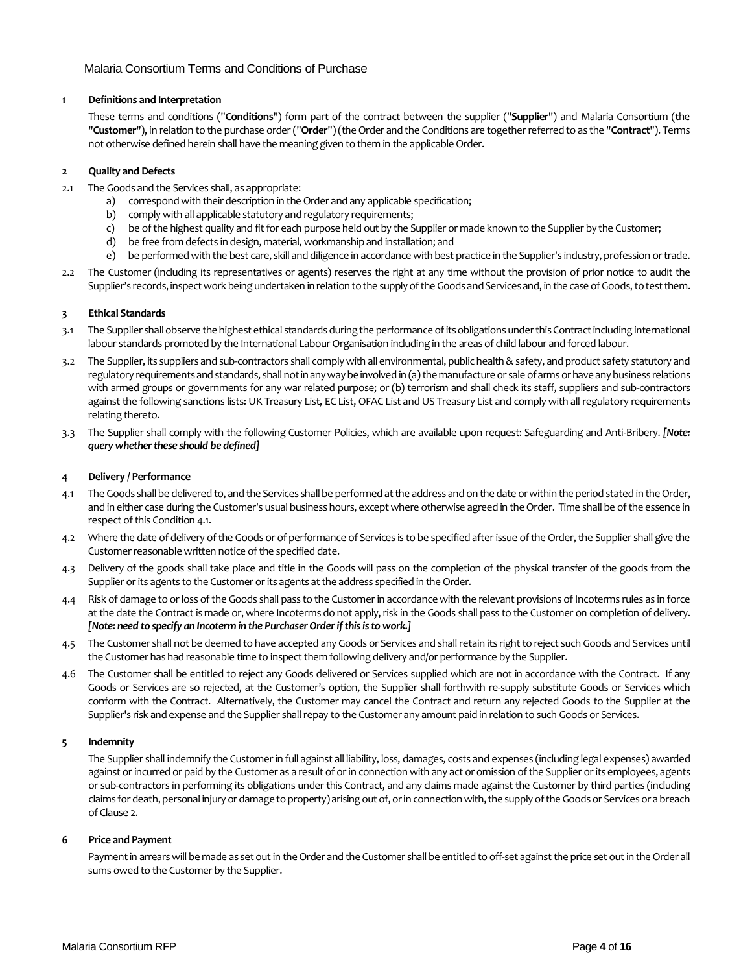### Malaria Consortium Terms and Conditions of Purchase

### **1 Definitions and Interpretation**

These terms and conditions ("**Conditions**") form part of the contract between the supplier ("**Supplier**") and Malaria Consortium (the "**Customer**"), in relation to the purchase order ("**Order**") (the Order and the Conditions are together referred to as the "**Contract**"). Terms not otherwise defined herein shall have the meaning given to them in the applicable Order.

### **2 Quality and Defects**

- 2.1 The Goods and the Services shall, as appropriate:
	- a) correspond with their description in the Order and any applicable specification;
	- b) comply with all applicable statutory and regulatory requirements;
	- c) be of the highest quality and fit for each purpose held out by the Supplier or made known to the Supplier by the Customer;
	- d) be free from defects in design, material, workmanship and installation; and
	- e) be performed with the best care, skill and diligence in accordance with best practice in the Supplier's industry, profession or trade.
- 2.2 The Customer (including its representatives or agents) reserves the right at any time without the provision of prior notice to audit the Supplier's records, inspect work being undertaken in relation to the supply of the Goods and Services and, in the case of Goods, to test them.

### **3 Ethical Standards**

- 3.1 The Supplier shall observe the highest ethical standards during the performance of its obligations under this Contract including international labour standards promoted by the International Labour Organisation including in the areas of child labour and forced labour.
- 3.2 The Supplier, its suppliers and sub-contractors shall comply with all environmental, public health & safety, and product safety statutory and regulatory requirements and standards, shall not in any way be involved in (a) the manufacture or sale of arms or have any business relations with armed groups or governments for any war related purpose; or (b) terrorism and shall check its staff, suppliers and sub-contractors against the following sanctions lists: UK Treasury List, EC List, OFAC List and US Treasury List and comply with all regulatory requirements relating thereto.
- 3.3 The Supplier shall comply with the following Customer Policies, which are available upon request: Safeguarding and Anti-Bribery. *[Note: query whether these should be defined]*

### **4 Delivery / Performance**

- 4.1 The Goods shall be delivered to, and the Services shall be performed at the address and on the date or within the period stated in the Order, and in either case during the Customer's usual business hours, except where otherwise agreed in the Order. Time shall be of the essence in respect of this Condition 4.1.
- 4.2 Where the date of delivery of the Goods or of performance of Services is to be specified after issue of the Order, the Supplier shall give the Customer reasonable written notice of the specified date.
- 4.3 Delivery of the goods shall take place and title in the Goods will pass on the completion of the physical transfer of the goods from the Supplier or its agents to the Customer or its agents at the address specified in the Order.
- 4.4 Risk of damage to or loss of the Goods shall pass to the Customer in accordance with the relevant provisions of Incoterms rules as in force at the date the Contract is made or, where Incoterms do not apply, risk in the Goods shall pass to the Customer on completion of delivery. *[Note: need to specify an Incoterm in the Purchaser Order if this is to work.]*
- 4.5 The Customer shall not be deemed to have accepted any Goods or Services and shall retain its right to reject such Goods and Services until the Customer has had reasonable time to inspect them following delivery and/or performance by the Supplier.
- 4.6 The Customer shall be entitled to reject any Goods delivered or Services supplied which are not in accordance with the Contract. If any Goods or Services are so rejected, at the Customer's option, the Supplier shall forthwith re-supply substitute Goods or Services which conform with the Contract. Alternatively, the Customer may cancel the Contract and return any rejected Goods to the Supplier at the Supplier's risk and expense and the Supplier shall repay to the Customer any amount paid in relation to such Goods or Services.

### **5 Indemnity**

The Supplier shall indemnify the Customer in full against all liability, loss, damages, costs and expenses (including legal expenses) awarded against or incurred or paid by the Customer as a result of or in connection with any act or omission of the Supplier or its employees, agents or sub-contractors in performing its obligations under this Contract, and any claims made against the Customer by third parties (including claims for death, personal injury or damage to property) arising out of, or in connection with, the supply of the Goods or Services or a breach of Clause 2.

### **6 Price and Payment**

Payment in arrears will be made as set out in the Order and the Customer shall be entitled to off-set against the price set out in the Order all sums owed to the Customer by the Supplier.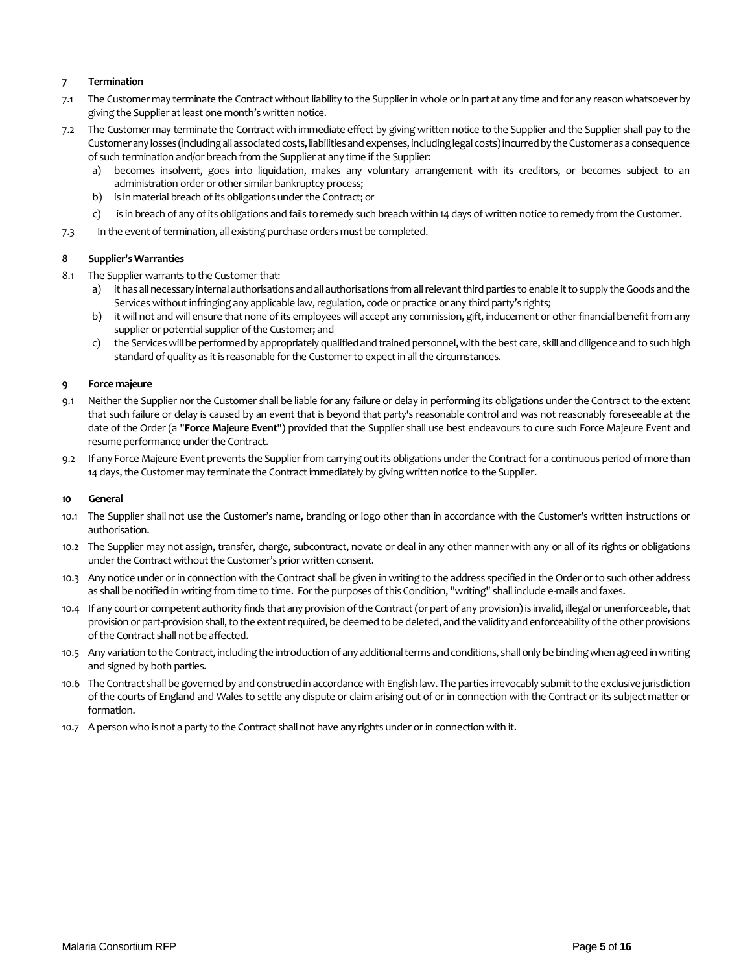### **7 Termination**

- 7.1 The Customer may terminate the Contract without liability to the Supplier in whole or in part at any time and for any reason whatsoever by giving the Supplier at least one month's written notice.
- 7.2 The Customer may terminate the Contract with immediate effect by giving written notice to the Supplier and the Supplier shall pay to the Customer any losses (including all associated costs, liabilities and expenses, including legal costs) incurred by the Customer as a consequence of such termination and/or breach from the Supplier at any time if the Supplier:
	- a) becomes insolvent, goes into liquidation, makes any voluntary arrangement with its creditors, or becomes subject to an administration order or other similar bankruptcy process;
	- b) is in material breach of its obligations under the Contract; or
	- c) is in breach of any of its obligations and fails to remedy such breach within 14 days of written notice to remedy from the Customer.
- 7.3 In the event of termination, all existing purchase orders must be completed.

### **8 Supplier's Warranties**

- 8.1 The Supplier warrants to the Customer that:
	- a) it has all necessary internal authorisations and all authorisations from all relevant third parties to enable it to supply the Goods and the Services without infringing any applicable law, regulation, code or practice or any third party's rights;
	- b) it will not and will ensure that none of its employees will accept any commission, gift, inducement or other financial benefit from any supplier or potential supplier of the Customer; and
	- c) the Services will be performed by appropriately qualified and trained personnel, with the best care, skill and diligence and to such high standard of quality as it is reasonable for the Customer to expect in all the circumstances.

### **9 Force majeure**

- 9.1 Neither the Supplier nor the Customer shall be liable for any failure or delay in performing its obligations under the Contract to the extent that such failure or delay is caused by an event that is beyond that party's reasonable control and was not reasonably foreseeable at the date of the Order (a "**Force Majeure Event**") provided that the Supplier shall use best endeavours to cure such Force Majeure Event and resume performance under the Contract.
- 9.2 If any Force Majeure Event prevents the Supplier from carrying out its obligations under the Contract for a continuous period of more than 14 days, the Customer may terminate the Contract immediately by giving written notice to the Supplier.

### **10 General**

- 10.1 The Supplier shall not use the Customer's name, branding or logo other than in accordance with the Customer's written instructions or authorisation.
- 10.2 The Supplier may not assign, transfer, charge, subcontract, novate or deal in any other manner with any or all of its rights or obligations under the Contract without the Customer's prior written consent.
- 10.3 Any notice under or in connection with the Contract shall be given in writing to the address specified in the Order or to such other address as shall be notified in writing from time to time. For the purposes of this Condition, "writing" shall include e-mails and faxes.
- 10.4 If any court or competent authority finds that any provision of the Contract (or part of any provision) is invalid, illegal or unenforceable, that provision or part-provision shall, to the extent required, be deemed to be deleted, and the validity and enforceability of the other provisions of the Contract shall not be affected.
- 10.5 Any variation to the Contract, including the introduction of any additional terms and conditions, shall only be binding when agreed in writing and signed by both parties.
- 10.6 The Contract shall be governed by and construed in accordance with English law. The parties irrevocably submit to the exclusive jurisdiction of the courts of England and Wales to settle any dispute or claim arising out of or in connection with the Contract or its subject matter or formation.
- 10.7 A person who is not a party to the Contract shall not have any rights under or in connection with it.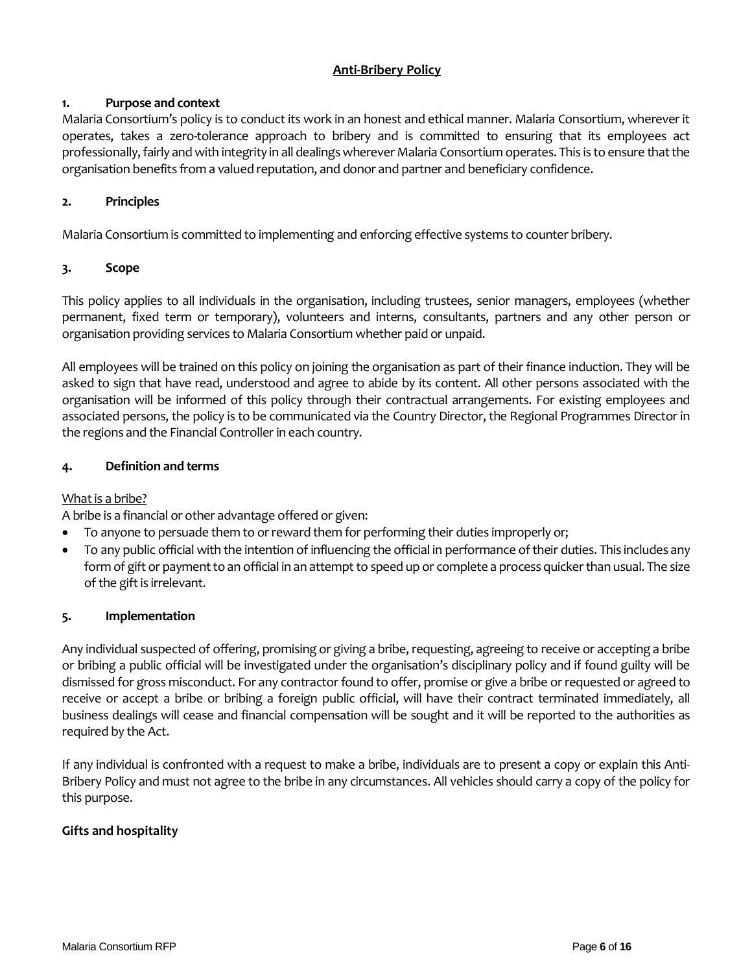# **Anti-Bribery Policy**

# **1. Purpose and context**

Malaria Consortium's policy is to conduct its work in an honest and ethical manner. Malaria Consortium, wherever it operates, takes a zero-tolerance approach to bribery and is committed to ensuring that its employees act professionally, fairly and with integrity in all dealings wherever Malaria Consortium operates. This is to ensure that the organisation benefits from a valued reputation, and donor and partner and beneficiary confidence.

# **2. Principles**

Malaria Consortium is committed to implementing and enforcing effective systems to counter bribery.

# **3. Scope**

This policy applies to all individuals in the organisation, including trustees, senior managers, employees (whether permanent, fixed term or temporary), volunteers and interns, consultants, partners and any other person or organisation providing services to Malaria Consortium whether paid or unpaid.

All employees will be trained on this policy on joining the organisation as part of their finance induction. They will be asked to sign that have read, understood and agree to abide by its content. All other persons associated with the organisation will be informed of this policy through their contractual arrangements. For existing employees and associated persons, the policy is to be communicated via the Country Director, the Regional Programmes Director in the regions and the Financial Controller in each country.

# **4. Definition and terms**

### What is a bribe?

A bribe is a financial or other advantage offered or given:

- To anyone to persuade them to or reward them for performing their duties improperly or;
- To any public official with the intention of influencing the official in performance of their duties. This includes any form of gift or payment to an official in an attempt to speed up or complete a process quicker than usual. The size of the gift is irrelevant.

### **5. Implementation**

Any individual suspected of offering, promising or giving a bribe, requesting, agreeing to receive or accepting a bribe or bribing a public official will be investigated under the organisation's disciplinary policy and if found guilty will be dismissed for gross misconduct. For any contractor found to offer, promise or give a bribe or requested or agreed to receive or accept a bribe or bribing a foreign public official, will have their contract terminated immediately, all business dealings will cease and financial compensation will be sought and it will be reported to the authorities as required by the Act.

If any individual is confronted with a request to make a bribe, individuals are to present a copy or explain this Anti-Bribery Policy and must not agree to the bribe in any circumstances. All vehicles should carry a copy of the policy for this purpose.

# **Gifts and hospitality**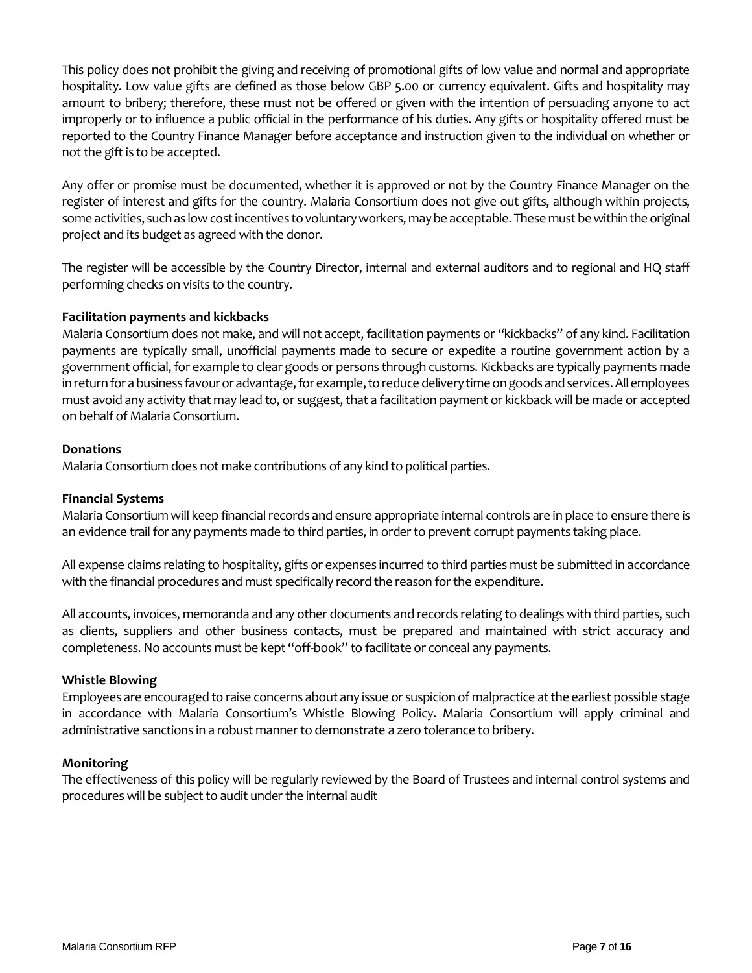This policy does not prohibit the giving and receiving of promotional gifts of low value and normal and appropriate hospitality. Low value gifts are defined as those below GBP 5.00 or currency equivalent. Gifts and hospitality may amount to bribery; therefore, these must not be offered or given with the intention of persuading anyone to act improperly or to influence a public official in the performance of his duties. Any gifts or hospitality offered must be reported to the Country Finance Manager before acceptance and instruction given to the individual on whether or not the gift is to be accepted.

Any offer or promise must be documented, whether it is approved or not by the Country Finance Manager on the register of interest and gifts for the country. Malaria Consortium does not give out gifts, although within projects, some activities, such as low cost incentives to voluntary workers, may be acceptable. These must be within the original project and its budget as agreed with the donor.

The register will be accessible by the Country Director, internal and external auditors and to regional and HQ staff performing checks on visits to the country.

# **Facilitation payments and kickbacks**

Malaria Consortium does not make, and will not accept, facilitation payments or "kickbacks" of any kind. Facilitation payments are typically small, unofficial payments made to secure or expedite a routine government action by a government official, for example to clear goods or persons through customs. Kickbacks are typically payments made in return for a business favour or advantage, for example, to reduce delivery time on goods and services. All employees must avoid any activity that may lead to, or suggest, that a facilitation payment or kickback will be made or accepted on behalf of Malaria Consortium.

### **Donations**

Malaria Consortium does not make contributions of any kind to political parties.

### **Financial Systems**

Malaria Consortium will keep financial records and ensure appropriate internal controls are in place to ensure there is an evidence trail for any payments made to third parties, in order to prevent corrupt payments taking place.

All expense claims relating to hospitality, gifts or expenses incurred to third parties must be submitted in accordance with the financial procedures and must specifically record the reason for the expenditure.

All accounts, invoices, memoranda and any other documents and records relating to dealings with third parties, such as clients, suppliers and other business contacts, must be prepared and maintained with strict accuracy and completeness. No accounts must be kept "off-book" to facilitate or conceal any payments.

### **Whistle Blowing**

Employees are encouraged to raise concerns about any issue or suspicion of malpractice at the earliest possible stage in accordance with Malaria Consortium's Whistle Blowing Policy. Malaria Consortium will apply criminal and administrative sanctions in a robust manner to demonstrate a zero tolerance to bribery.

### **Monitoring**

The effectiveness of this policy will be regularly reviewed by the Board of Trustees and internal control systems and procedures will be subject to audit under the internal audit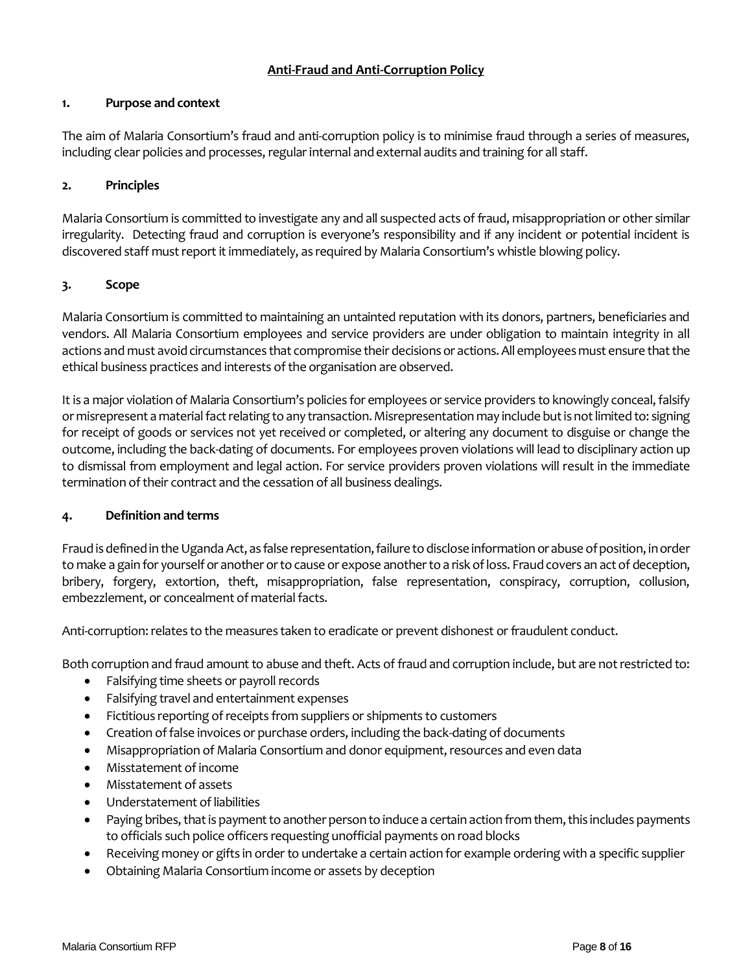# **Anti-Fraud and Anti-Corruption Policy**

## **1. Purpose and context**

The aim of Malaria Consortium's fraud and anti-corruption policy is to minimise fraud through a series of measures, including clear policies and processes, regular internal and external audits and training for all staff.

# **2. Principles**

Malaria Consortium is committed to investigate any and all suspected acts of fraud, misappropriation or other similar irregularity. Detecting fraud and corruption is everyone's responsibility and if any incident or potential incident is discovered staff must report it immediately, as required by Malaria Consortium's whistle blowing policy.

# **3. Scope**

Malaria Consortium is committed to maintaining an untainted reputation with its donors, partners, beneficiaries and vendors. All Malaria Consortium employees and service providers are under obligation to maintain integrity in all actions and must avoid circumstances that compromise their decisions or actions. All employees must ensure that the ethical business practices and interests of the organisation are observed.

It is a major violation of Malaria Consortium's policies for employees or service providers to knowingly conceal, falsify or misrepresent a material fact relating to any transaction. Misrepresentation may include but is not limited to: signing for receipt of goods or services not yet received or completed, or altering any document to disguise or change the outcome, including the back-dating of documents. For employees proven violations will lead to disciplinary action up to dismissal from employment and legal action. For service providers proven violations will result in the immediate termination of their contract and the cessation of all business dealings.

### **4. Definition and terms**

Fraud is defined in the Uganda Act, as false representation, failure to disclose information or abuse of position, in order to make a gain for yourself or another or to cause or expose another to a risk of loss. Fraud covers an act of deception, bribery, forgery, extortion, theft, misappropriation, false representation, conspiracy, corruption, collusion, embezzlement, or concealment of material facts.

Anti-corruption: relates to the measures taken to eradicate or prevent dishonest or fraudulent conduct.

Both corruption and fraud amount to abuse and theft. Acts of fraud and corruption include, but are not restricted to:

- Falsifying time sheets or payroll records
- Falsifying travel and entertainment expenses
- Fictitious reporting of receipts from suppliers or shipments to customers
- Creation of false invoices or purchase orders, including the back-dating of documents
- Misappropriation of Malaria Consortium and donor equipment, resources and even data
- Misstatement of income
- Misstatement of assets
- Understatement of liabilities
- Paying bribes, that is payment to another person to induce a certain action from them, this includes payments to officials such police officers requesting unofficial payments on road blocks
- Receiving money or gifts in order to undertake a certain action for example ordering with a specific supplier
- Obtaining Malaria Consortium income or assets by deception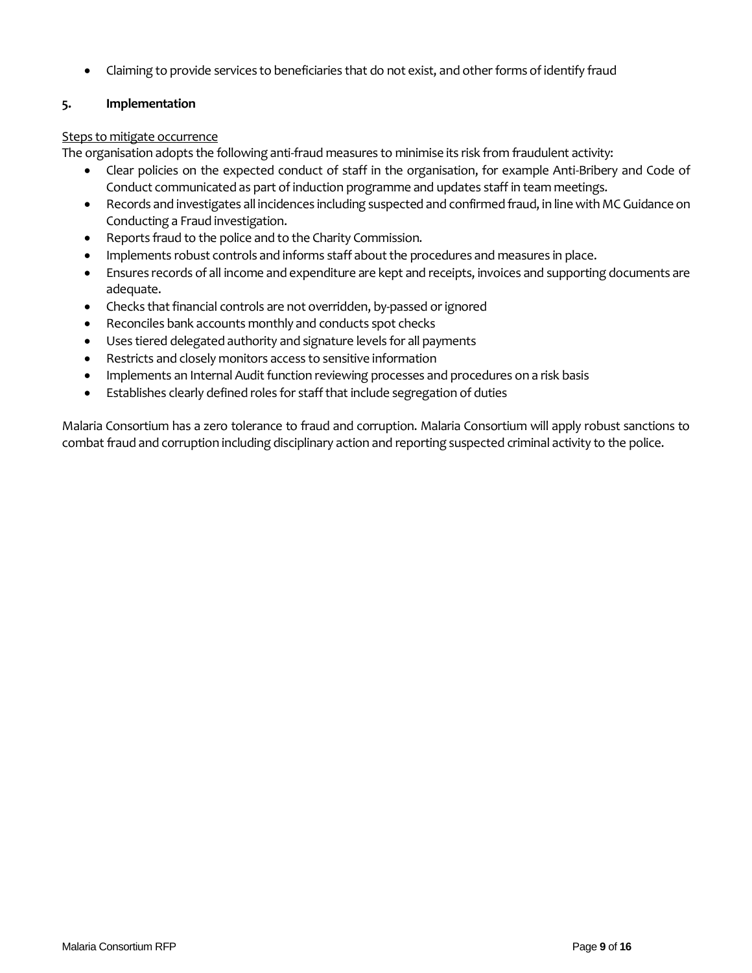• Claiming to provide services to beneficiaries that do not exist, and other forms of identify fraud

## **5. Implementation**

## Steps to mitigate occurrence

The organisation adopts the following anti-fraud measures to minimise its risk from fraudulent activity:

- Clear policies on the expected conduct of staff in the organisation, for example Anti-Bribery and Code of Conduct communicated as part of induction programme and updates staff in team meetings.
- Records and investigates all incidences including suspected and confirmed fraud, in line with MC Guidance on Conducting a Fraud investigation.
- Reports fraud to the police and to the Charity Commission.
- Implements robust controls and informs staff about the procedures and measures in place.
- Ensures records of all income and expenditure are kept and receipts, invoices and supporting documents are adequate.
- Checks that financial controls are not overridden, by-passed or ignored
- Reconciles bank accounts monthly and conducts spot checks
- Uses tiered delegated authority and signature levels for all payments
- Restricts and closely monitors access to sensitive information
- Implements an Internal Audit function reviewing processes and procedures on a risk basis
- Establishes clearly defined roles for staff that include segregation of duties

Malaria Consortium has a zero tolerance to fraud and corruption. Malaria Consortium will apply robust sanctions to combat fraud and corruption including disciplinary action and reporting suspected criminal activity to the police.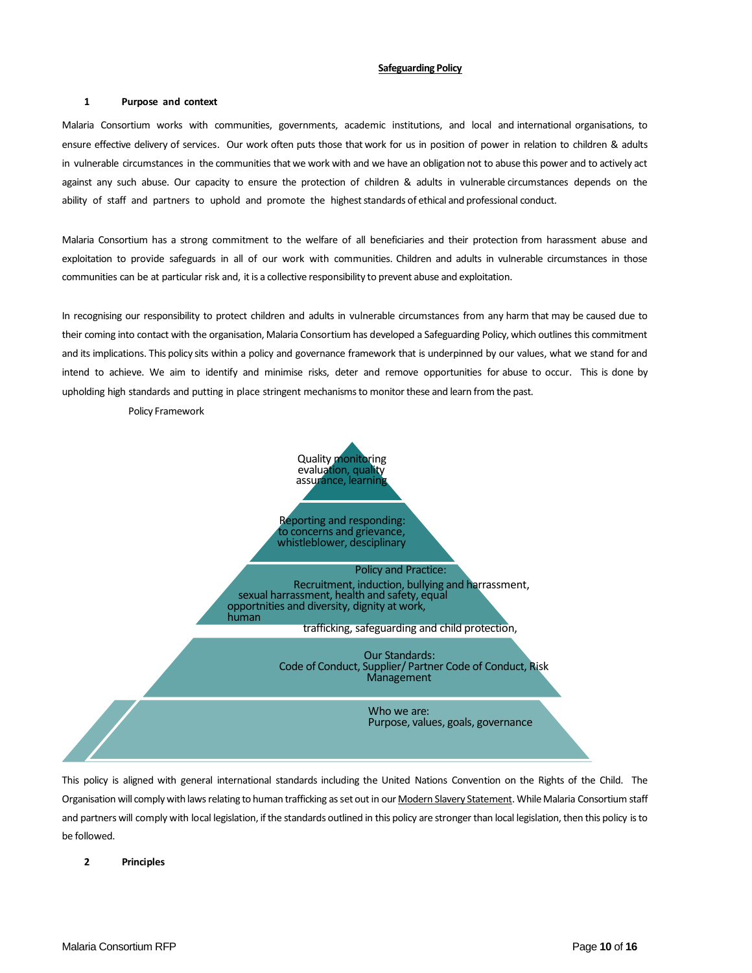#### **Safeguarding Policy**

#### **1 Purpose and context**

Malaria Consortium works with communities, governments, academic institutions, and local and international organisations, to ensure effective delivery of services. Our work often puts those that work for us in position of power in relation to children & adults in vulnerable circumstances in the communities that we work with and we have an obligation not to abuse this power and to actively act against any such abuse. Our capacity to ensure the protection of children & adults in vulnerable circumstances depends on the ability of staff and partners to uphold and promote the highest standards of ethical and professional conduct.

Malaria Consortium has a strong commitment to the welfare of all beneficiaries and their protection from harassment abuse and exploitation to provide safeguards in all of our work with communities. Children and adults in vulnerable circumstances in those communities can be at particular risk and, it is a collective responsibility to prevent abuse and exploitation.

In recognising our responsibility to protect children and adults in vulnerable circumstances from any harm that may be caused due to their coming into contact with the organisation, Malaria Consortium has developed a Safeguarding Policy, which outlines this commitment and its implications. This policy sits within a policy and governance framework that is underpinned by our values, what we stand for and intend to achieve. We aim to identify and minimise risks, deter and remove opportunities for abuse to occur. This is done by upholding high standards and putting in place stringent mechanisms to monitor these and learn from the past.

Policy Framework



This policy is aligned with general international standards including the United Nations Convention on the Rights of the Child. The Organisation will comply with lawsrelating to human trafficking asset out in our Modern Slavery [Statement.](https://www.malariaconsortium.org/who_we_are/modern-slavery-statement.htm) While Malaria Consortium staff and partners will comply with local legislation, if the standards outlined in this policy are stronger than local legislation, then this policy is to be followed.

#### **2 Principles**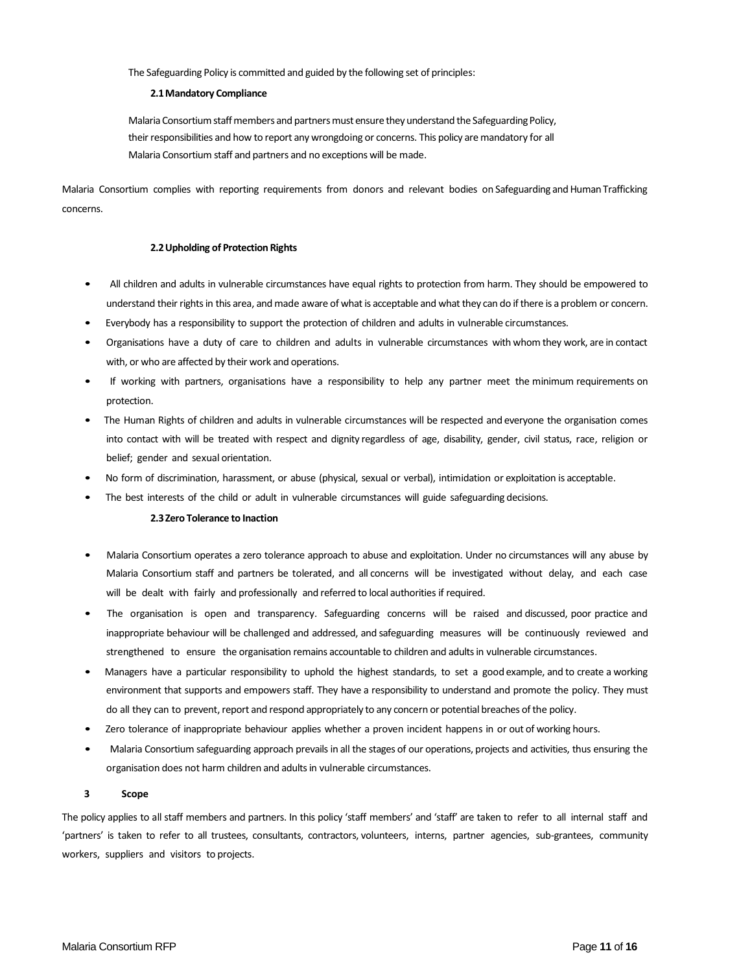The Safeguarding Policy is committed and guided by the following set of principles:

### **2.1Mandatory Compliance**

Malaria Consortium staff members and partners must ensure they understand the Safeguarding Policy, their responsibilities and how to report any wrongdoing or concerns. This policy are mandatory for all Malaria Consortium staff and partners and no exceptions will be made.

Malaria Consortium complies with reporting requirements from donors and relevant bodies on Safeguarding and Human Trafficking concerns.

### **2.2Upholding of Protection Rights**

- All children and adults in vulnerable circumstances have equal rights to protection from harm. They should be empowered to understand their rights in this area, and made aware of what is acceptable and what they can do if there is a problem or concern.
- Everybody has a responsibility to support the protection of children and adults in vulnerable circumstances.
- Organisations have a duty of care to children and adults in vulnerable circumstances with whom they work, are in contact with, or who are affected by their work and operations.
- If working with partners, organisations have a responsibility to help any partner meet the minimum requirements on protection.
- The Human Rights of children and adults in vulnerable circumstances will be respected and everyone the organisation comes into contact with will be treated with respect and dignity regardless of age, disability, gender, civil status, race, religion or belief; gender and sexual orientation.
- No form of discrimination, harassment, or abuse (physical, sexual or verbal), intimidation or exploitation is acceptable.
- The best interests of the child or adult in vulnerable circumstances will guide safeguarding decisions.

### **2.3Zero Tolerance to Inaction**

- Malaria Consortium operates a zero tolerance approach to abuse and exploitation. Under no circumstances will any abuse by Malaria Consortium staff and partners be tolerated, and all concerns will be investigated without delay, and each case will be dealt with fairly and professionally and referred to local authorities if required.
- The organisation is open and transparency. Safeguarding concerns will be raised and discussed, poor practice and inappropriate behaviour will be challenged and addressed, and safeguarding measures will be continuously reviewed and strengthened to ensure the organisation remains accountable to children and adults in vulnerable circumstances.
- Managers have a particular responsibility to uphold the highest standards, to set a good example, and to create a working environment that supports and empowers staff. They have a responsibility to understand and promote the policy. They must do all they can to prevent, report and respond appropriately to any concern or potential breaches of the policy.
- Zero tolerance of inappropriate behaviour applies whether a proven incident happens in or out of working hours.
- Malaria Consortium safeguarding approach prevails in all the stages of our operations, projects and activities, thus ensuring the organisation does not harm children and adults in vulnerable circumstances.

### **3 Scope**

The policy applies to all staff members and partners. In this policy 'staff members' and 'staff' are taken to refer to all internal staff and 'partners' is taken to refer to all trustees, consultants, contractors, volunteers, interns, partner agencies, sub-grantees, community workers, suppliers and visitors to projects.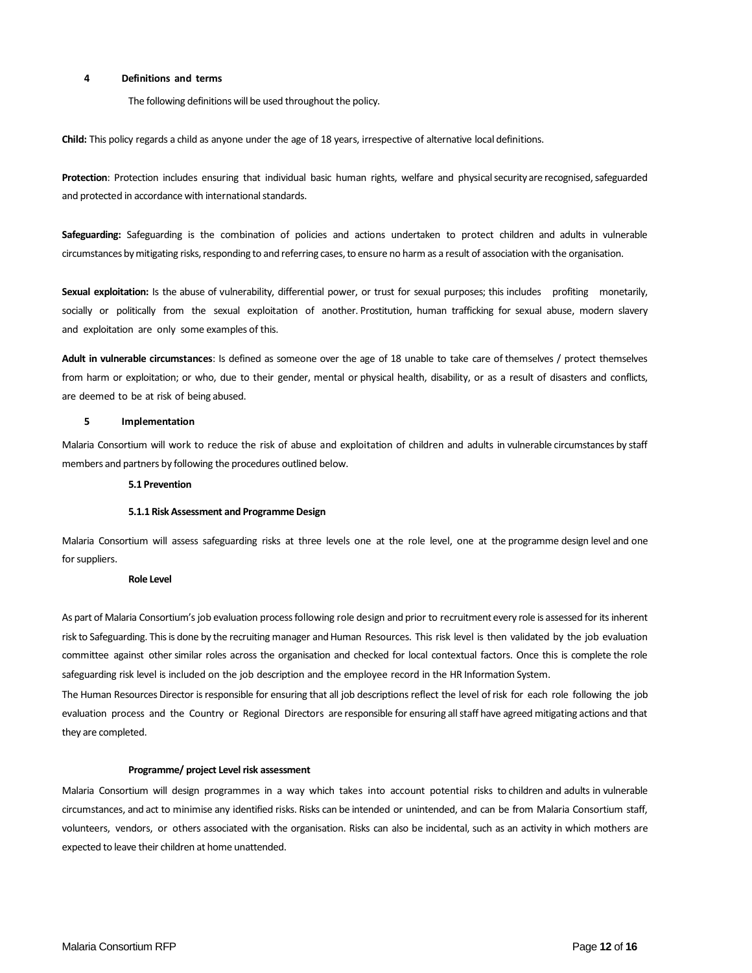### **4 Definitions and terms**

The following definitions will be used throughout the policy.

**Child:** This policy regards a child as anyone under the age of 18 years, irrespective of alternative local definitions.

**Protection**: Protection includes ensuring that individual basic human rights, welfare and physical security are recognised, safeguarded and protected in accordance with international standards.

**Safeguarding:** Safeguarding is the combination of policies and actions undertaken to protect children and adults in vulnerable circumstances by mitigating risks, responding to and referring cases, to ensure no harm as a result of association with the organisation.

**Sexual exploitation:** Is the abuse of vulnerability, differential power, or trust for sexual purposes; this includes profiting monetarily, socially or politically from the sexual exploitation of another. Prostitution, human trafficking for sexual abuse, modern slavery and exploitation are only some examples of this.

**Adult in vulnerable circumstances**: Is defined as someone over the age of 18 unable to take care of themselves / protect themselves from harm or exploitation; or who, due to their gender, mental or physical health, disability, or as a result of disasters and conflicts, are deemed to be at risk of being abused.

### **5 Implementation**

Malaria Consortium will work to reduce the risk of abuse and exploitation of children and adults in vulnerable circumstances by staff members and partners by following the procedures outlined below.

#### **5.1 Prevention**

### **5.1.1 Risk Assessment and Programme Design**

Malaria Consortium will assess safeguarding risks at three levels one at the role level, one at the programme design level and one for suppliers.

#### **Role Level**

As part of Malaria Consortium's job evaluation process following role design and prior to recruitment every role is assessed for its inherent risk to Safeguarding. Thisis done by the recruiting manager and Human Resources. This risk level is then validated by the job evaluation committee against other similar roles across the organisation and checked for local contextual factors. Once this is complete the role safeguarding risk level is included on the job description and the employee record in the HR Information System.

The Human Resources Director is responsible for ensuring that all job descriptions reflect the level of risk for each role following the job evaluation process and the Country or Regional Directors are responsible for ensuring all staff have agreed mitigating actions and that they are completed.

### **Programme/ project Level risk assessment**

Malaria Consortium will design programmes in a way which takes into account potential risks to children and adults in vulnerable circumstances, and act to minimise any identified risks. Risks can be intended or unintended, and can be from Malaria Consortium staff, volunteers, vendors, or others associated with the organisation. Risks can also be incidental, such as an activity in which mothers are expected to leave their children at home unattended.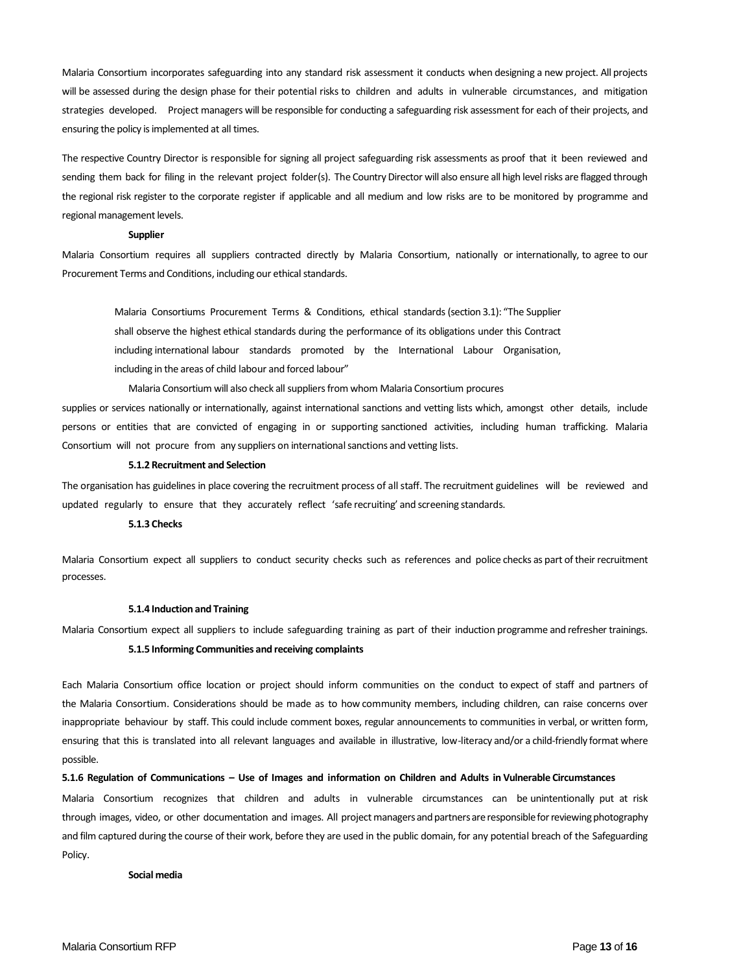Malaria Consortium incorporates safeguarding into any standard risk assessment it conducts when designing a new project. All projects will be assessed during the design phase for their potential risks to children and adults in vulnerable circumstances, and mitigation strategies developed. Project managers will be responsible for conducting a safeguarding risk assessment for each of their projects, and ensuring the policy is implemented at all times.

The respective Country Director is responsible for signing all project safeguarding risk assessments as proof that it been reviewed and sending them back for filing in the relevant project folder(s). The Country Director will also ensure all high level risks are flagged through the regional risk register to the corporate register if applicable and all medium and low risks are to be monitored by programme and regional management levels.

#### **Supplier**

Malaria Consortium requires all suppliers contracted directly by Malaria Consortium, nationally or internationally, to agree to our Procurement Terms and Conditions, including our ethical standards.

Malaria Consortiums Procurement Terms & Conditions, ethical standards (section 3.1): "The Supplier shall observe the highest ethical standards during the performance of its obligations under this Contract including international labour standards promoted by the International Labour Organisation, including in the areas of child labour and forced labour"

Malaria Consortium will also check all suppliers from whom Malaria Consortium procures supplies or services nationally or internationally, against international sanctions and vetting lists which, amongst other details, include persons or entities that are convicted of engaging in or supporting sanctioned activities, including human trafficking. Malaria Consortium will not procure from any suppliers on international sanctions and vetting lists.

### **5.1.2 Recruitment and Selection**

The organisation has guidelines in place covering the recruitment process of all staff. The recruitment guidelines will be reviewed and updated regularly to ensure that they accurately reflect 'safe recruiting' and screening standards.

### **5.1.3 Checks**

Malaria Consortium expect all suppliers to conduct security checks such as references and police checks as part of their recruitment processes.

#### **5.1.4 Induction and Training**

Malaria Consortium expect all suppliers to include safeguarding training as part of their induction programme and refresher trainings.

### **5.1.5 Informing Communities and receiving complaints**

Each Malaria Consortium office location or project should inform communities on the conduct to expect of staff and partners of the Malaria Consortium. Considerations should be made as to how community members, including children, can raise concerns over inappropriate behaviour by staff. This could include comment boxes, regular announcements to communities in verbal, or written form, ensuring that this is translated into all relevant languages and available in illustrative, low-literacy and/or a child-friendly format where possible.

#### **5.1.6 Regulation of Communications – Use of Images and information on Children and Adults in Vulnerable Circumstances**

Malaria Consortium recognizes that children and adults in vulnerable circumstances can be unintentionally put at risk through images, video, or other documentation and images. All project managers and partners are responsible for reviewing photography and film captured during the course of their work, before they are used in the public domain, for any potential breach of the Safeguarding Policy.

#### **Social media**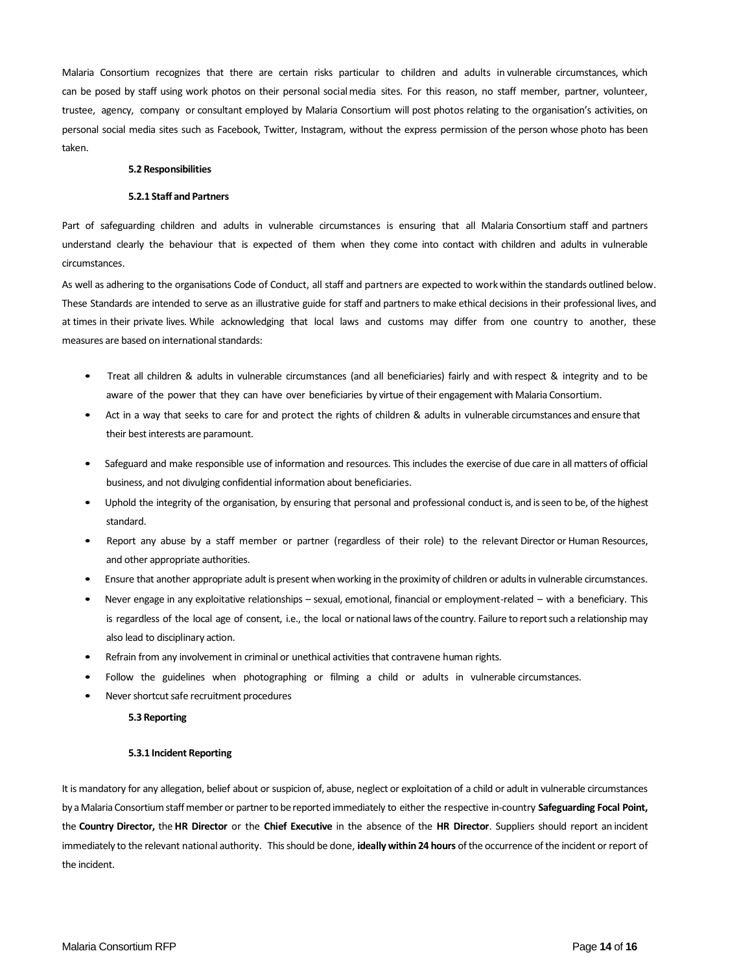Malaria Consortium recognizes that there are certain risks particular to children and adults in vulnerable circumstances, which can be posed by staff using work photos on their personal social media sites. For this reason, no staff member, partner, volunteer, trustee, agency, company or consultant employed by Malaria Consortium will post photos relating to the organisation's activities, on personal social media sites such as Facebook, Twitter, Instagram, without the express permission of the person whose photo has been taken.

### **5.2 Responsibilities**

### **5.2.1 Staff and Partners**

Part of safeguarding children and adults in vulnerable circumstances is ensuring that all Malaria Consortium staff and partners understand clearly the behaviour that is expected of them when they come into contact with children and adults in vulnerable circumstances.

As well as adhering to the organisations Code of Conduct, all staff and partners are expected to work within the standards outlined below. These Standards are intended to serve as an illustrative guide for staff and partners to make ethical decisions in their professional lives, and at times in their private lives. While acknowledging that local laws and customs may differ from one country to another, these measures are based on international standards:

- Treat all children & adults in vulnerable circumstances (and all beneficiaries) fairly and with respect & integrity and to be aware of the power that they can have over beneficiaries by virtue of their engagement with Malaria Consortium.
- Act in a way that seeks to care for and protect the rights of children & adults in vulnerable circumstances and ensure that their best interests are paramount.
- Safeguard and make responsible use of information and resources. This includes the exercise of due care in all matters of official business, and not divulging confidential information about beneficiaries.
- Uphold the integrity of the organisation, by ensuring that personal and professional conduct is, and is seen to be, of the highest standard.
- Report any abuse by a staff member or partner (regardless of their role) to the relevant Director or Human Resources, and other appropriate authorities.
- Ensure that another appropriate adult is present when working in the proximity of children or adults in vulnerable circumstances.
- Never engage in any exploitative relationships sexual, emotional, financial or employment-related with a beneficiary. This is regardless of the local age of consent, i.e., the local or national laws of the country. Failure to report such a relationship may also lead to disciplinary action.
- Refrain from any involvement in criminal or unethical activities that contravene human rights.
- Follow the guidelines when photographing or filming a child or adults in vulnerable circumstances.
- Never shortcut safe recruitment procedures

#### **5.3 Reporting**

#### **5.3.1 Incident Reporting**

It is mandatory for any allegation, belief about or suspicion of, abuse, neglect or exploitation of a child or adult in vulnerable circumstances by a Malaria Consortium staff member or partner to be reported immediately to either the respective in-country **Safeguarding Focal Point,** the **Country Director,** the **HR Director** or the **Chief Executive** in the absence of the **HR Director**. Suppliers should report an incident immediately to the relevant national authority. This should be done, **ideally within 24 hours** of the occurrence of the incident or report of the incident.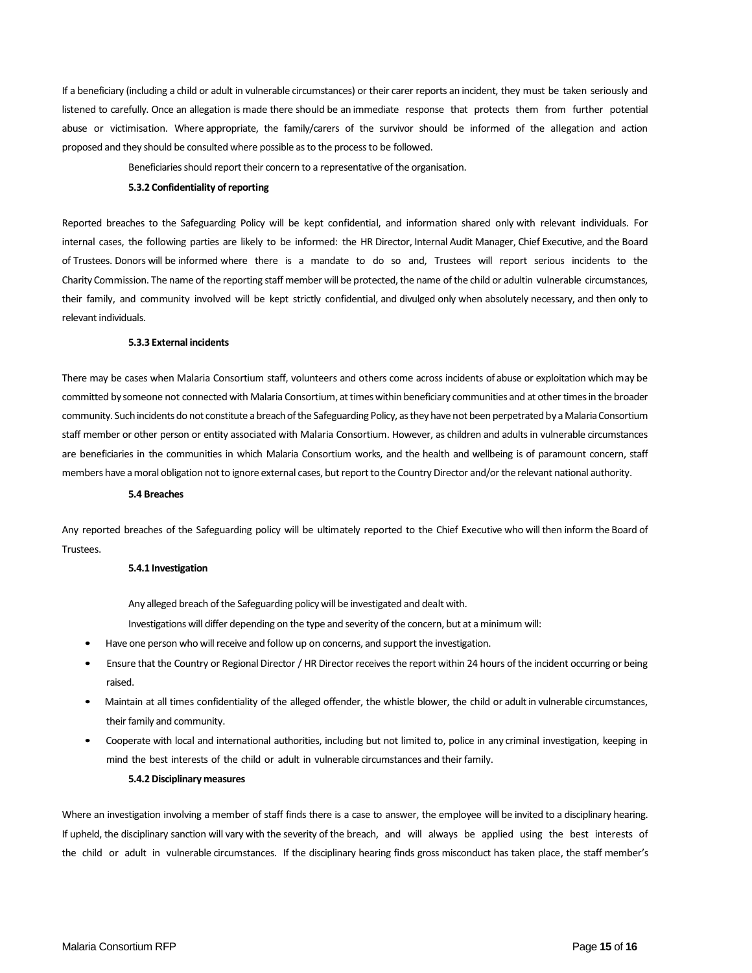If a beneficiary (including a child or adult in vulnerable circumstances) or their carer reports an incident, they must be taken seriously and listened to carefully. Once an allegation is made there should be an immediate response that protects them from further potential abuse or victimisation. Where appropriate, the family/carers of the survivor should be informed of the allegation and action proposed and they should be consulted where possible as to the process to be followed.

Beneficiaries should report their concern to a representative of the organisation.

#### **5.3.2 Confidentiality of reporting**

Reported breaches to the Safeguarding Policy will be kept confidential, and information shared only with relevant individuals. For internal cases, the following parties are likely to be informed: the HR Director, Internal Audit Manager, Chief Executive, and the Board of Trustees. Donors will be informed where there is a mandate to do so and, Trustees will report serious incidents to the Charity Commission. The name of the reporting staff member will be protected, the name of the child or adultin vulnerable circumstances, their family, and community involved will be kept strictly confidential, and divulged only when absolutely necessary, and then only to relevant individuals.

### **5.3.3 External incidents**

There may be cases when Malaria Consortium staff, volunteers and others come across incidents of abuse or exploitation which may be committed by someone not connected with Malaria Consortium, at times within beneficiary communities and at other times in the broader community. Such incidents do not constitute a breach of the Safeguarding Policy, as they have not been perpetrated by a Malaria Consortium staff member or other person or entity associated with Malaria Consortium. However, as children and adults in vulnerable circumstances are beneficiaries in the communities in which Malaria Consortium works, and the health and wellbeing is of paramount concern, staff members have a moral obligation not to ignore external cases, but report to the Country Director and/or the relevant national authority.

### **5.4 Breaches**

Any reported breaches of the Safeguarding policy will be ultimately reported to the Chief Executive who will then inform the Board of Trustees.

#### **5.4.1 Investigation**

Any alleged breach of the Safeguarding policy will be investigated and dealt with.

Investigations will differ depending on the type and severity of the concern, but at a minimum will:

- Have one person who will receive and follow up on concerns, and support the investigation.
- Ensure that the Country or Regional Director / HR Director receivesthe report within 24 hours of the incident occurring or being raised.
- Maintain at all times confidentiality of the alleged offender, the whistle blower, the child or adult in vulnerable circumstances, their family and community.
- Cooperate with local and international authorities, including but not limited to, police in any criminal investigation, keeping in mind the best interests of the child or adult in vulnerable circumstances and their family.

#### **5.4.2 Disciplinary measures**

Where an investigation involving a member of staff finds there is a case to answer, the employee will be invited to a disciplinary hearing. If upheld, the disciplinary sanction will vary with the severity of the breach, and will always be applied using the best interests of the child or adult in vulnerable circumstances. If the disciplinary hearing finds gross misconduct has taken place, the staff member's